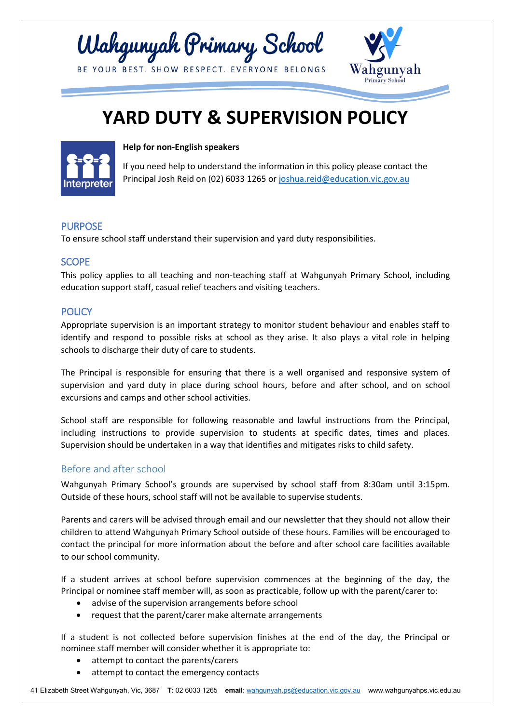



# **YARD DUTY & SUPERVISION POLICY**



**Help for non-English speakers**

If you need help to understand the information in this policy please contact the Principal Josh Reid on (02) 6033 1265 or [joshua.reid@education.vic.gov.au](mailto:joshua.reid@education.vic.gov.au)

# PURPOSE

To ensure school staff understand their supervision and yard duty responsibilities.

# **SCOPE**

This policy applies to all teaching and non-teaching staff at Wahgunyah Primary School, including education support staff, casual relief teachers and visiting teachers.

# **POLICY**

Appropriate supervision is an important strategy to monitor student behaviour and enables staff to identify and respond to possible risks at school as they arise. It also plays a vital role in helping schools to discharge their duty of care to students.

The Principal is responsible for ensuring that there is a well organised and responsive system of supervision and yard duty in place during school hours, before and after school, and on school excursions and camps and other school activities.

School staff are responsible for following reasonable and lawful instructions from the Principal, including instructions to provide supervision to students at specific dates, times and places. Supervision should be undertaken in a way that identifies and mitigates risks to child safety.

# Before and after school

Wahgunyah Primary School's grounds are supervised by school staff from 8:30am until 3:15pm. Outside of these hours, school staff will not be available to supervise students.

Parents and carers will be advised through email and our newsletter that they should not allow their children to attend Wahgunyah Primary School outside of these hours. Families will be encouraged to contact the principal for more information about the before and after school care facilities available to our school community.

If a student arrives at school before supervision commences at the beginning of the day, the Principal or nominee staff member will, as soon as practicable, follow up with the parent/carer to:

- advise of the supervision arrangements before school
- request that the parent/carer make alternate arrangements

If a student is not collected before supervision finishes at the end of the day, the Principal or nominee staff member will consider whether it is appropriate to:

- attempt to contact the parents/carers
- attempt to contact the emergency contacts

41 Elizabeth Street Wahgunyah, Vic, 3687 **T**: 02 6033 1265 **email**[: wahgunyah.ps@education.vic.gov.au](mailto:wahgunyah.ps@education.vic.gov.au) www.wahgunyahps.vic.edu.au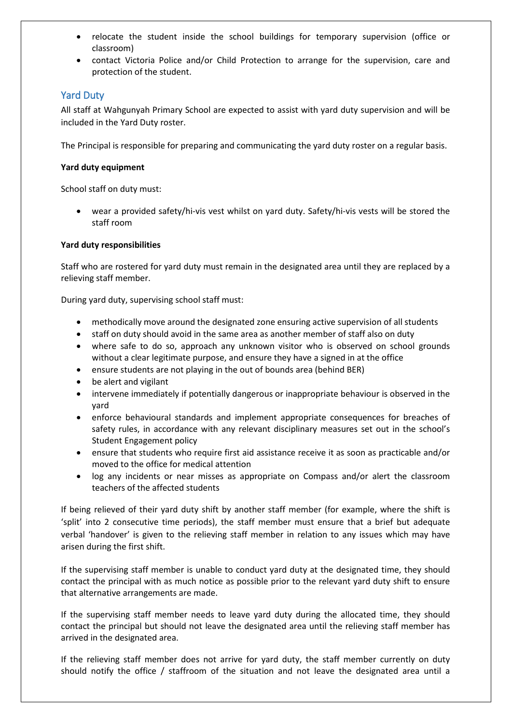- relocate the student inside the school buildings for temporary supervision (office or classroom)
- contact Victoria Police and/or Child Protection to arrange for the supervision, care and protection of the student.

# Yard Duty

All staff at Wahgunyah Primary School are expected to assist with yard duty supervision and will be included in the Yard Duty roster.

The Principal is responsible for preparing and communicating the yard duty roster on a regular basis.

#### **Yard duty equipment**

School staff on duty must:

• wear a provided safety/hi-vis vest whilst on yard duty. Safety/hi-vis vests will be stored the staff room

#### **Yard duty responsibilities**

Staff who are rostered for yard duty must remain in the designated area until they are replaced by a relieving staff member.

During yard duty, supervising school staff must:

- methodically move around the designated zone ensuring active supervision of all students
- staff on duty should avoid in the same area as another member of staff also on duty
- where safe to do so, approach any unknown visitor who is observed on school grounds without a clear legitimate purpose, and ensure they have a signed in at the office
- ensure students are not playing in the out of bounds area (behind BER)
- be alert and vigilant
- intervene immediately if potentially dangerous or inappropriate behaviour is observed in the yard
- enforce behavioural standards and implement appropriate consequences for breaches of safety rules, in accordance with any relevant disciplinary measures set out in the school's Student Engagement policy
- ensure that students who require first aid assistance receive it as soon as practicable and/or moved to the office for medical attention
- log any incidents or near misses as appropriate on Compass and/or alert the classroom teachers of the affected students

If being relieved of their yard duty shift by another staff member (for example, where the shift is 'split' into 2 consecutive time periods), the staff member must ensure that a brief but adequate verbal 'handover' is given to the relieving staff member in relation to any issues which may have arisen during the first shift.

If the supervising staff member is unable to conduct yard duty at the designated time, they should contact the principal with as much notice as possible prior to the relevant yard duty shift to ensure that alternative arrangements are made.

If the supervising staff member needs to leave yard duty during the allocated time, they should contact the principal but should not leave the designated area until the relieving staff member has arrived in the designated area.

If the relieving staff member does not arrive for yard duty, the staff member currently on duty should notify the office / staffroom of the situation and not leave the designated area until a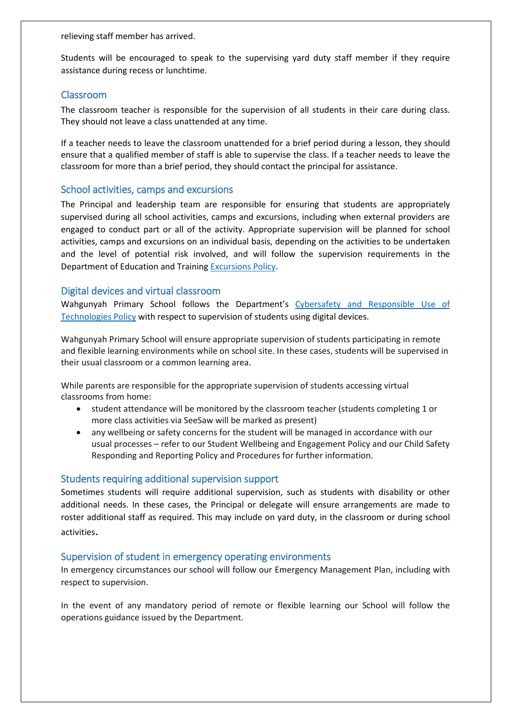relieving staff member has arrived.

Students will be encouraged to speak to the supervising yard duty staff member if they require assistance during recess or lunchtime.

#### Classroom

The classroom teacher is responsible for the supervision of all students in their care during class. They should not leave a class unattended at any time.

If a teacher needs to leave the classroom unattended for a brief period during a lesson, they should ensure that a qualified member of staff is able to supervise the class. If a teacher needs to leave the classroom for more than a brief period, they should contact the principal for assistance.

# School activities, camps and excursions

The Principal and leadership team are responsible for ensuring that students are appropriately supervised during all school activities, camps and excursions, including when external providers are engaged to conduct part or all of the activity. Appropriate supervision will be planned for school activities, camps and excursions on an individual basis, depending on the activities to be undertaken and the level of potential risk involved, and will follow the supervision requirements in the Department of Education and Trainin[g Excursions Policy.](https://www2.education.vic.gov.au/pal/excursions/policy)

#### Digital devices and virtual classroom

Wahgunyah Primary School follows the Department's Cybersafety and Responsible Use of [Technologies Policy](https://www2.education.vic.gov.au/pal/cybersafety/policy) with respect to supervision of students using digital devices.

Wahgunyah Primary School will ensure appropriate supervision of students participating in remote and flexible learning environments while on school site. In these cases, students will be supervised in their usual classroom or a common learning area.

While parents are responsible for the appropriate supervision of students accessing virtual classrooms from home:

- student attendance will be monitored by the classroom teacher (students completing 1 or more class activities via SeeSaw will be marked as present)
- any wellbeing or safety concerns for the student will be managed in accordance with our usual processes – refer to our Student Wellbeing and Engagement Policy and our Child Safety Responding and Reporting Policy and Procedures for further information.

#### Students requiring additional supervision support

Sometimes students will require additional supervision, such as students with disability or other additional needs. In these cases, the Principal or delegate will ensure arrangements are made to roster additional staff as required. This may include on yard duty, in the classroom or during school activities.

#### Supervision of student in emergency operating environments

In emergency circumstances our school will follow our Emergency Management Plan, including with respect to supervision.

In the event of any mandatory period of remote or flexible learning our School will follow the operations guidance issued by the Department.